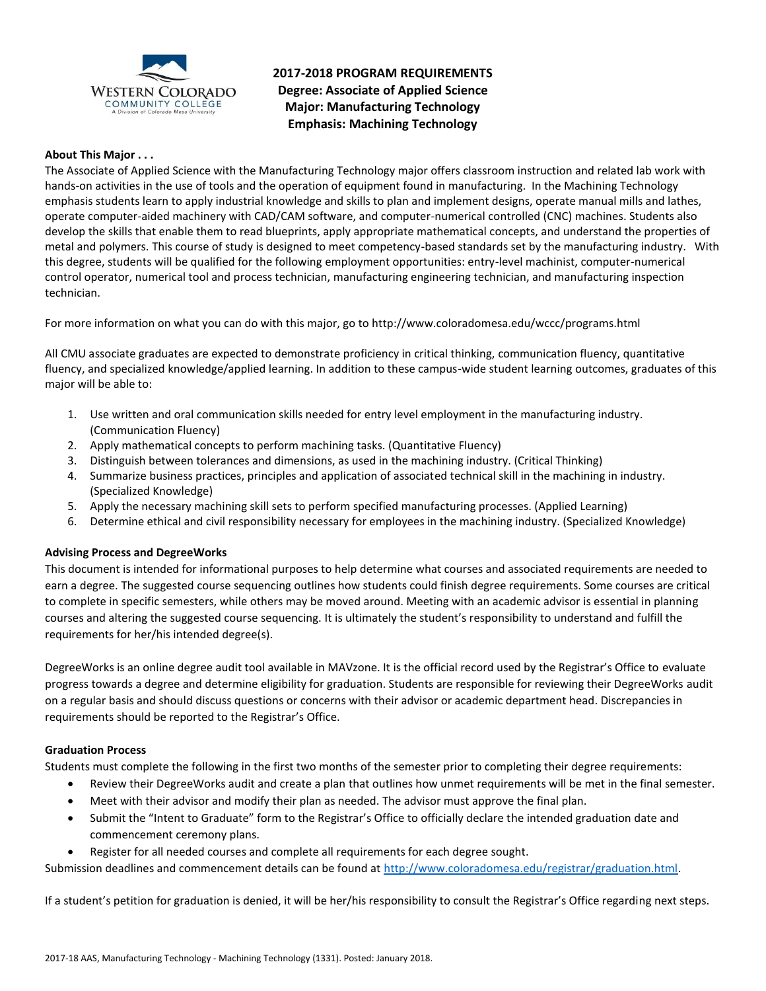

**2017-2018 PROGRAM REQUIREMENTS Degree: Associate of Applied Science Major: Manufacturing Technology Emphasis: Machining Technology** 

#### **About This Major . . .**

The Associate of Applied Science with the Manufacturing Technology major offers classroom instruction and related lab work with hands-on activities in the use of tools and the operation of equipment found in manufacturing. In the Machining Technology emphasis students learn to apply industrial knowledge and skills to plan and implement designs, operate manual mills and lathes, operate computer-aided machinery with CAD/CAM software, and computer-numerical controlled (CNC) machines. Students also develop the skills that enable them to read blueprints, apply appropriate mathematical concepts, and understand the properties of metal and polymers. This course of study is designed to meet competency-based standards set by the manufacturing industry. With this degree, students will be qualified for the following employment opportunities: entry-level machinist, computer-numerical control operator, numerical tool and process technician, manufacturing engineering technician, and manufacturing inspection technician.

For more information on what you can do with this major, go to http://www.coloradomesa.edu/wccc/programs.html

All CMU associate graduates are expected to demonstrate proficiency in critical thinking, communication fluency, quantitative fluency, and specialized knowledge/applied learning. In addition to these campus-wide student learning outcomes, graduates of this major will be able to:

- 1. Use written and oral communication skills needed for entry level employment in the manufacturing industry. (Communication Fluency)
- 2. Apply mathematical concepts to perform machining tasks. (Quantitative Fluency)
- 3. Distinguish between tolerances and dimensions, as used in the machining industry. (Critical Thinking)
- 4. Summarize business practices, principles and application of associated technical skill in the machining in industry. (Specialized Knowledge)
- 5. Apply the necessary machining skill sets to perform specified manufacturing processes. (Applied Learning)
- 6. Determine ethical and civil responsibility necessary for employees in the machining industry. (Specialized Knowledge)

#### **Advising Process and DegreeWorks**

This document is intended for informational purposes to help determine what courses and associated requirements are needed to earn a degree. The suggested course sequencing outlines how students could finish degree requirements. Some courses are critical to complete in specific semesters, while others may be moved around. Meeting with an academic advisor is essential in planning courses and altering the suggested course sequencing. It is ultimately the student's responsibility to understand and fulfill the requirements for her/his intended degree(s).

DegreeWorks is an online degree audit tool available in MAVzone. It is the official record used by the Registrar's Office to evaluate progress towards a degree and determine eligibility for graduation. Students are responsible for reviewing their DegreeWorks audit on a regular basis and should discuss questions or concerns with their advisor or academic department head. Discrepancies in requirements should be reported to the Registrar's Office.

#### **Graduation Process**

Students must complete the following in the first two months of the semester prior to completing their degree requirements:

- Review their DegreeWorks audit and create a plan that outlines how unmet requirements will be met in the final semester.
- Meet with their advisor and modify their plan as needed. The advisor must approve the final plan.
- Submit the "Intent to Graduate" form to the Registrar's Office to officially declare the intended graduation date and commencement ceremony plans.
- Register for all needed courses and complete all requirements for each degree sought.

Submission deadlines and commencement details can be found at [http://www.coloradomesa.edu/registrar/graduation.html.](http://www.coloradomesa.edu/registrar/graduation.html)

If a student's petition for graduation is denied, it will be her/his responsibility to consult the Registrar's Office regarding next steps.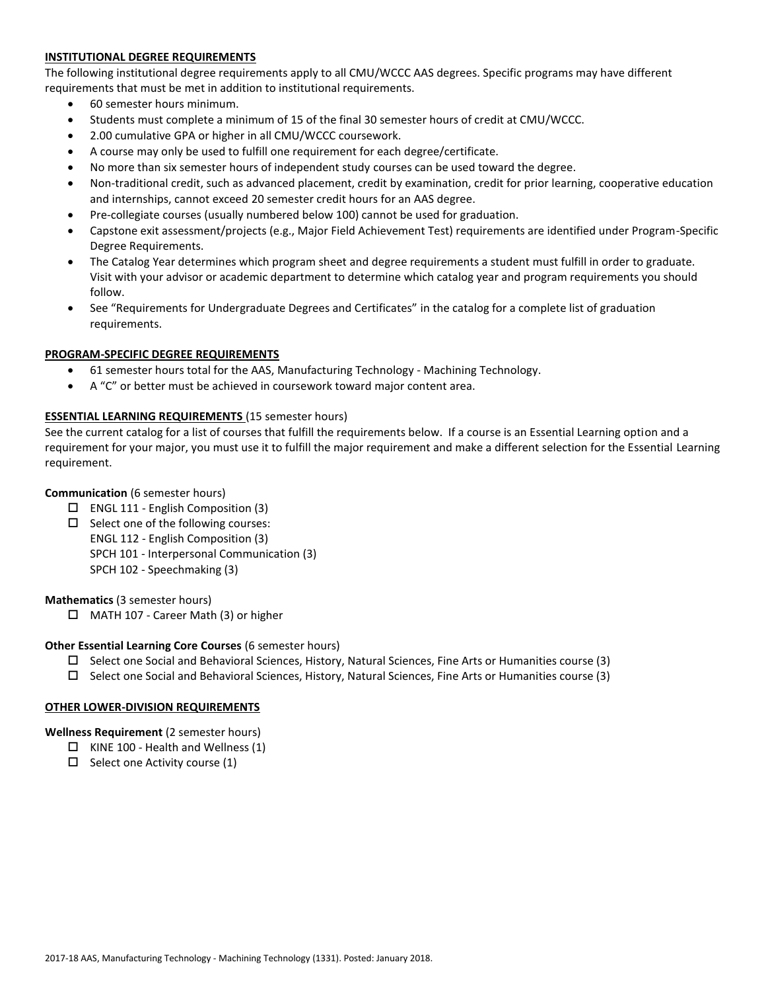# **INSTITUTIONAL DEGREE REQUIREMENTS**

The following institutional degree requirements apply to all CMU/WCCC AAS degrees. Specific programs may have different requirements that must be met in addition to institutional requirements.

- 60 semester hours minimum.
- Students must complete a minimum of 15 of the final 30 semester hours of credit at CMU/WCCC.
- 2.00 cumulative GPA or higher in all CMU/WCCC coursework.
- A course may only be used to fulfill one requirement for each degree/certificate.
- No more than six semester hours of independent study courses can be used toward the degree.
- Non-traditional credit, such as advanced placement, credit by examination, credit for prior learning, cooperative education and internships, cannot exceed 20 semester credit hours for an AAS degree.
- Pre-collegiate courses (usually numbered below 100) cannot be used for graduation.
- Capstone exit assessment/projects (e.g., Major Field Achievement Test) requirements are identified under Program-Specific Degree Requirements.
- The Catalog Year determines which program sheet and degree requirements a student must fulfill in order to graduate. Visit with your advisor or academic department to determine which catalog year and program requirements you should follow.
- See "Requirements for Undergraduate Degrees and Certificates" in the catalog for a complete list of graduation requirements.

## **PROGRAM-SPECIFIC DEGREE REQUIREMENTS**

- 61 semester hours total for the AAS, Manufacturing Technology Machining Technology.
- A "C" or better must be achieved in coursework toward major content area.

## **ESSENTIAL LEARNING REQUIREMENTS** (15 semester hours)

See the current catalog for a list of courses that fulfill the requirements below. If a course is an Essential Learning option and a requirement for your major, you must use it to fulfill the major requirement and make a different selection for the Essential Learning requirement.

# **Communication** (6 semester hours)

- $\Box$  ENGL 111 English Composition (3)
- $\square$  Select one of the following courses: ENGL 112 - English Composition (3) SPCH 101 - Interpersonal Communication (3) SPCH 102 - Speechmaking (3)

#### **Mathematics** (3 semester hours)

□ MATH 107 - Career Math (3) or higher

#### **Other Essential Learning Core Courses** (6 semester hours)

- $\square$  Select one Social and Behavioral Sciences, History, Natural Sciences, Fine Arts or Humanities course (3)
- $\Box$  Select one Social and Behavioral Sciences, History, Natural Sciences, Fine Arts or Humanities course (3)

#### **OTHER LOWER-DIVISION REQUIREMENTS**

**Wellness Requirement** (2 semester hours)

- $\Box$  KINE 100 Health and Wellness (1)
- $\square$  Select one Activity course (1)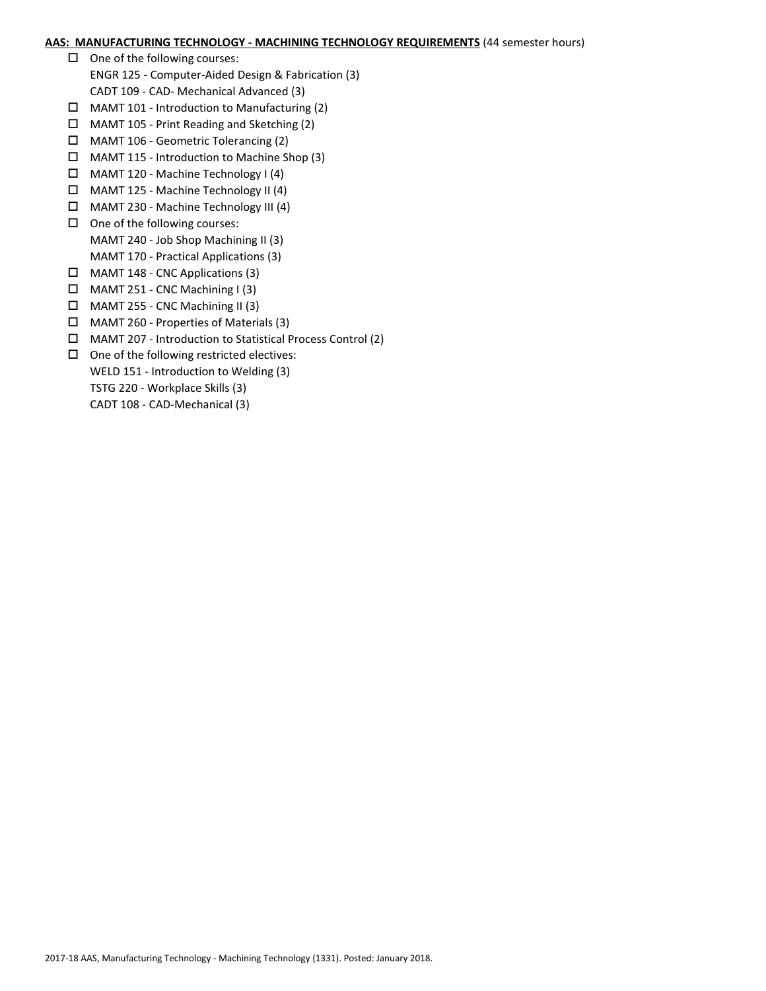# **AAS: MANUFACTURING TECHNOLOGY - MACHINING TECHNOLOGY REQUIREMENTS** (44 semester hours)

- $\Box$  One of the following courses: ENGR 125 - Computer-Aided Design & Fabrication (3) CADT 109 - CAD- Mechanical Advanced (3)
- $\Box$  MAMT 101 Introduction to Manufacturing (2)
- MAMT 105 Print Reading and Sketching (2)
- MAMT 106 Geometric Tolerancing (2)
- MAMT 115 Introduction to Machine Shop (3)
- $\Box$  MAMT 120 Machine Technology I (4)
- $\Box$  MAMT 125 Machine Technology II (4)
- MAMT 230 Machine Technology III (4)
- $\Box$  One of the following courses: MAMT 240 - Job Shop Machining II (3) MAMT 170 - Practical Applications (3)
- MAMT 148 CNC Applications (3)
- MAMT 251 CNC Machining I (3)
- $\Box$  MAMT 255 CNC Machining II (3)
- MAMT 260 Properties of Materials (3)
- MAMT 207 Introduction to Statistical Process Control (2)
- $\Box$  One of the following restricted electives: WELD 151 - Introduction to Welding (3) TSTG 220 - Workplace Skills (3) CADT 108 - CAD-Mechanical (3)